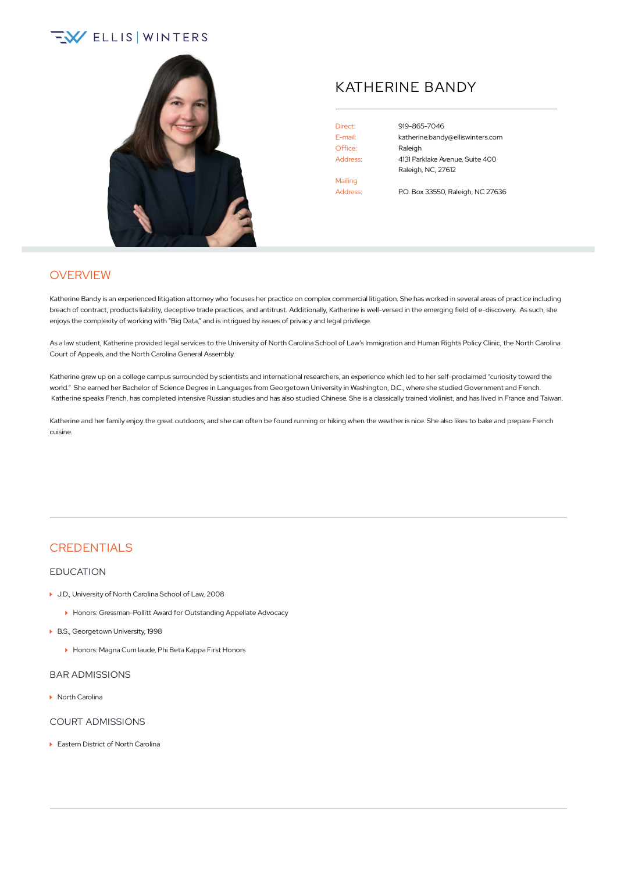# $\sqrt{2}$  ELLIS WINTERS



## KATHERINE BANDY

Office: Raleigh Mailing Address: P.O. Box 33550, Raleigh, NC 27636

Direct: [919-865-7046](tel:+1-919-865-7046) E-mail: [katherine.bandy@elliswinters.com](mailto:katherine.bandy@elliswinters.com) Address: 4131 Parklake Avenue, Suite 400 Raleigh, NC, 27612

**OVERVIEW** 

Katherine Bandy is an experienced litigation attorney who focuses her practice on complex commercial litigation. She has worked in several areas of practice including breach of contract, products liability, deceptive trade practices, and antitrust. Additionally, Katherine is well-versed in the emerging field of e-discovery. As such, she enjoys the complexity of working with "Big Data," and is intrigued by issues of privacy and legal privilege.

As a law student, Katherine provided legal services to the University of North Carolina School of Law's Immigration and Human Rights Policy Clinic, the North Carolina Court of Appeals, and the North Carolina General Assembly.

Katherine grew up on a college campus surrounded by scientists and international researchers, an experience which led to her self-proclaimed "curiosity toward the world." She earned her Bachelor of Science Degree in Languages from Georgetown University in Washington, D.C., where she studied Government and French. Katherine speaks French, has completed intensive Russian studies and has also studied Chinese. She is a classically trained violinist, and has lived in France and Taiwan.

Katherine and her family enjoy the great outdoors, and she can often be found running or hiking when the weather is nice. She also likes to bake and prepare French cuisine.

### **CREDENTIALS**

#### EDUCATION

- ▶ J.D., University of North Carolina School of Law, 2008
	- Honors: Gressman-Pollitt Award for Outstanding Appellate Advocacy
- ▶ B.S., Georgetown University, 1998
	- Honors: Magna Cum laude, Phi Beta Kappa First Honors

#### BAR ADMISSIONS

▶ North Carolina

#### COURT ADMISSIONS

▶ Eastern District of North Carolina